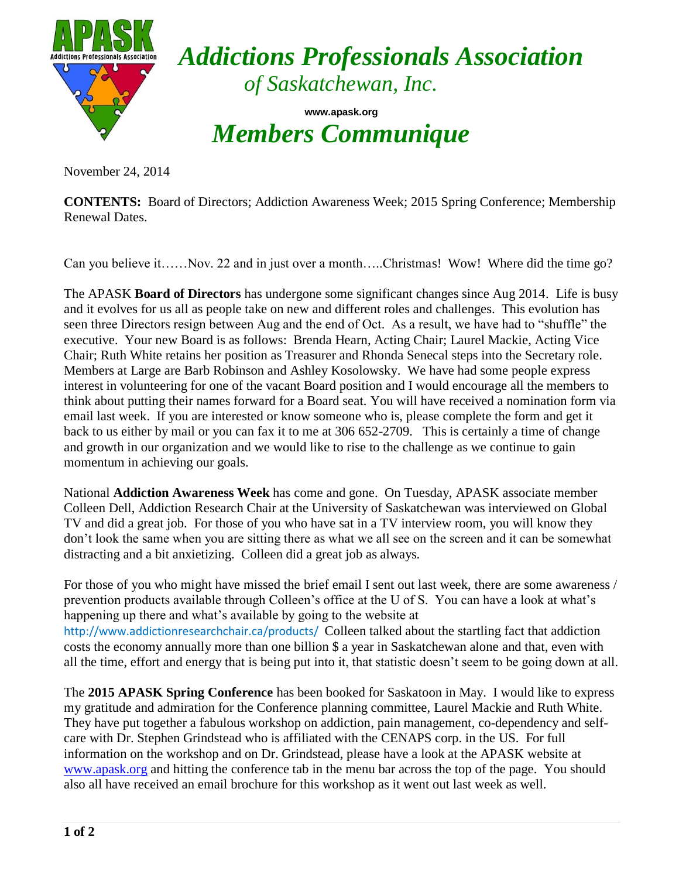

*Addictions Professionals Association of Saskatchewan, Inc.*

**www.apask.org** *Members Communique*

November 24, 2014

**CONTENTS:** Board of Directors; Addiction Awareness Week; 2015 Spring Conference; Membership Renewal Dates.

Can you believe it……Nov. 22 and in just over a month…..Christmas! Wow! Where did the time go?

The APASK **Board of Directors** has undergone some significant changes since Aug 2014. Life is busy and it evolves for us all as people take on new and different roles and challenges. This evolution has seen three Directors resign between Aug and the end of Oct. As a result, we have had to "shuffle" the executive. Your new Board is as follows: Brenda Hearn, Acting Chair; Laurel Mackie, Acting Vice Chair; Ruth White retains her position as Treasurer and Rhonda Senecal steps into the Secretary role. Members at Large are Barb Robinson and Ashley Kosolowsky. We have had some people express interest in volunteering for one of the vacant Board position and I would encourage all the members to think about putting their names forward for a Board seat. You will have received a nomination form via email last week. If you are interested or know someone who is, please complete the form and get it back to us either by mail or you can fax it to me at 306 652-2709. This is certainly a time of change and growth in our organization and we would like to rise to the challenge as we continue to gain momentum in achieving our goals.

National **Addiction Awareness Week** has come and gone. On Tuesday, APASK associate member Colleen Dell, Addiction Research Chair at the University of Saskatchewan was interviewed on Global TV and did a great job. For those of you who have sat in a TV interview room, you will know they don't look the same when you are sitting there as what we all see on the screen and it can be somewhat distracting and a bit anxietizing. Colleen did a great job as always.

For those of you who might have missed the brief email I sent out last week, there are some awareness / prevention products available through Colleen's office at the U of S. You can have a look at what's happening up there and what's available by going to the website at <http://www.addictionresearchchair.ca/products/>Colleen talked about the startling fact that addiction costs the economy annually more than one billion \$ a year in Saskatchewan alone and that, even with all the time, effort and energy that is being put into it, that statistic doesn't seem to be going down at all.

The **2015 APASK Spring Conference** has been booked for Saskatoon in May. I would like to express my gratitude and admiration for the Conference planning committee, Laurel Mackie and Ruth White. They have put together a fabulous workshop on addiction, pain management, co-dependency and selfcare with Dr. Stephen Grindstead who is affiliated with the CENAPS corp. in the US. For full information on the workshop and on Dr. Grindstead, please have a look at the APASK website at [www.apask.org](http://www.apask.org/) and hitting the conference tab in the menu bar across the top of the page. You should also all have received an email brochure for this workshop as it went out last week as well.